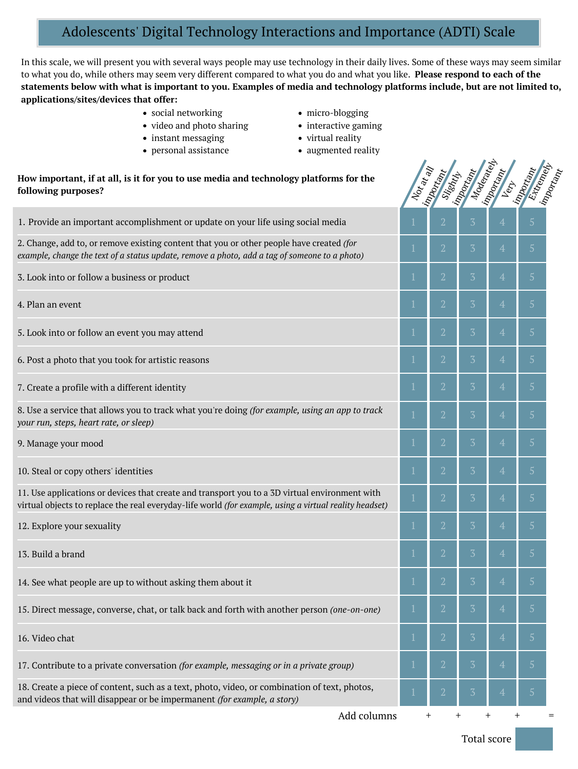# Adolescents' Digital Technology Interactions and Importance (ADTI) Scale

In this scale, we will present you with several ways people may use technology in their daily lives. Some of these ways may seem similar to what you do, while others may seem very different compared to what you do and what you like. **Please respond to each of the** statements below with what is important to you. Examples of media and technology platforms include, but are not limited to, **applications/sites/devices that offer:**

- social networking
- video and photo sharing
- instant messaging
- personal assistance
- micro-blogging
- interactive gaming
- virtual reality
- augmented reality

## **How important, if at all, is it for you to use media and technology platforms for the following purposes?**

| How important, if at all, is it for you to use media and technology platforms for the<br>following purposes?                                                                                             | $N_{O\!p}$ ar an | Important<br>Slightly | Moderately<br>Important | Important      | Extremely<br>important<br>Limportant |  |
|----------------------------------------------------------------------------------------------------------------------------------------------------------------------------------------------------------|------------------|-----------------------|-------------------------|----------------|--------------------------------------|--|
| 1. Provide an important accomplishment or update on your life using social media                                                                                                                         |                  | $\overline{2}$        | $\overline{3}$          | $\overline{4}$ | $\overline{5}$                       |  |
| 2. Change, add to, or remove existing content that you or other people have created (for<br>example, change the text of a status update, remove a photo, add a tag of someone to a photo)                |                  | $\overline{2}$        | $\overline{3}$          | $\overline{4}$ | 5 <sup>5</sup>                       |  |
| 3. Look into or follow a business or product                                                                                                                                                             |                  | $\overline{2}$        | $\overline{3}$          | $\overline{4}$ | $\overline{5}$                       |  |
| 4. Plan an event                                                                                                                                                                                         |                  | $\overline{2}$        | $\overline{3}$          | $\overline{4}$ | 5 <sup>5</sup>                       |  |
| 5. Look into or follow an event you may attend                                                                                                                                                           |                  | $\overline{2}$        | $\overline{3}$          | $\overline{4}$ | 5 <sup>5</sup>                       |  |
| 6. Post a photo that you took for artistic reasons                                                                                                                                                       |                  | $\overline{2}$        | $\overline{3}$          | $\overline{4}$ | $\overline{5}$                       |  |
| 7. Create a profile with a different identity                                                                                                                                                            |                  | $\overline{2}$        | $\overline{3}$          | $\overline{4}$ | 5 <sup>1</sup>                       |  |
| 8. Use a service that allows you to track what you're doing (for example, using an app to track<br>your run, steps, heart rate, or sleep)                                                                |                  | $\overline{2}$        | $\overline{3}$          | $\overline{4}$ | 5 <sup>5</sup>                       |  |
| 9. Manage your mood                                                                                                                                                                                      |                  | $\overline{2}$        | $\overline{3}$          | $\overline{4}$ | 5 <sup>5</sup>                       |  |
| 10. Steal or copy others' identities                                                                                                                                                                     |                  | $\overline{2}$        | $\overline{3}$          | $\overline{4}$ | 5 <sup>1</sup>                       |  |
| 11. Use applications or devices that create and transport you to a 3D virtual environment with<br>virtual objects to replace the real everyday-life world (for example, using a virtual reality headset) |                  | $\overline{2}$        | $\overline{3}$          | $\overline{4}$ | 5 <sup>5</sup>                       |  |
| 12. Explore your sexuality                                                                                                                                                                               |                  | $\overline{2}$        | $\overline{3}$          | $\overline{4}$ | $\overline{5}$                       |  |
| 13. Build a brand                                                                                                                                                                                        |                  | $\overline{2}$        | $\overline{3}$          | $\overline{4}$ | $\overline{5}$                       |  |
| 14. See what people are up to without asking them about it                                                                                                                                               |                  | $\overline{2}$        | $\overline{3}$          | $\overline{4}$ | 5 <sup>5</sup>                       |  |
| 15. Direct message, converse, chat, or talk back and forth with another person (one-on-one)                                                                                                              |                  | $\overline{2}$        | $\overline{3}$          | $\overline{4}$ | 5 <sup>5</sup>                       |  |
| 16. Video chat                                                                                                                                                                                           |                  | $\overline{2}$        | $\overline{3}$          | $\overline{4}$ | 5 <sup>1</sup>                       |  |
| 17. Contribute to a private conversation (for example, messaging or in a private group)                                                                                                                  |                  | $\overline{2}$        | $\overline{3}$          | $\overline{4}$ | $\sqrt{5}$                           |  |
| 18. Create a piece of content, such as a text, photo, video, or combination of text, photos,<br>and videos that will disappear or be impermanent (for example, a story)                                  |                  | $\overline{2}$        | $\overline{3}$          | $\overline{4}$ | 5                                    |  |
| Add columns                                                                                                                                                                                              | $^{+}$           |                       | $^{+}$                  | $^+$<br>$\pm$  |                                      |  |